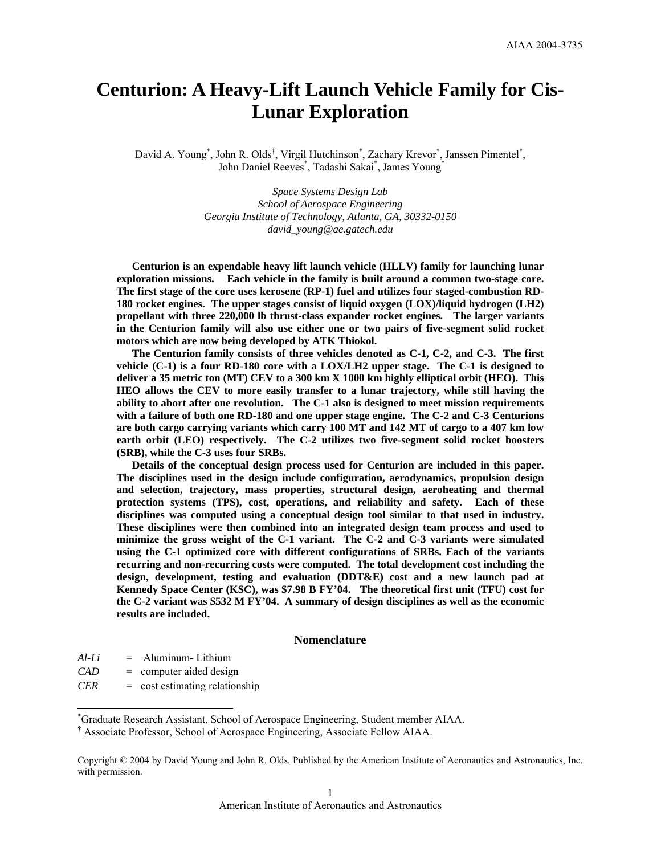# **Centurion: A Heavy-Lift Launch Vehicle Family for Cis-Lunar Exploration**

David A. Young<sup>\*</sup>, John R. Olds<sup>†</sup>, Virgil Hutchinson<sup>\*</sup>, Zachary Krevor<sup>\*</sup>, Janssen Pimentel<sup>\*</sup>, John Daniel Reeves<sup>\*</sup>, Tadashi Sakai<sup>\*</sup>, James Young<sup>\*</sup>

> *Space Systems Design Lab School of Aerospace Engineering Georgia Institute of Technology, Atlanta, GA, 30332-0150 david\_young@ae.gatech.edu*

**Centurion is an expendable heavy lift launch vehicle (HLLV) family for launching lunar exploration missions. Each vehicle in the family is built around a common two-stage core. The first stage of the core uses kerosene (RP-1) fuel and utilizes four staged-combustion RD-180 rocket engines. The upper stages consist of liquid oxygen (LOX)/liquid hydrogen (LH2) propellant with three 220,000 lb thrust-class expander rocket engines. The larger variants in the Centurion family will also use either one or two pairs of five-segment solid rocket motors which are now being developed by ATK Thiokol.** 

**The Centurion family consists of three vehicles denoted as C-1, C-2, and C-3. The first vehicle (C-1) is a four RD-180 core with a LOX/LH2 upper stage. The C-1 is designed to deliver a 35 metric ton (MT) CEV to a 300 km X 1000 km highly elliptical orbit (HEO). This HEO allows the CEV to more easily transfer to a lunar trajectory, while still having the ability to abort after one revolution. The C-1 also is designed to meet mission requirements with a failure of both one RD-180 and one upper stage engine. The C-2 and C-3 Centurions are both cargo carrying variants which carry 100 MT and 142 MT of cargo to a 407 km low earth orbit (LEO) respectively. The C-2 utilizes two five-segment solid rocket boosters (SRB), while the C-3 uses four SRBs.** 

**Details of the conceptual design process used for Centurion are included in this paper. The disciplines used in the design include configuration, aerodynamics, propulsion design and selection, trajectory, mass properties, structural design, aeroheating and thermal protection systems (TPS), cost, operations, and reliability and safety. Each of these disciplines was computed using a conceptual design tool similar to that used in industry. These disciplines were then combined into an integrated design team process and used to minimize the gross weight of the C-1 variant. The C-2 and C-3 variants were simulated using the C-1 optimized core with different configurations of SRBs. Each of the variants recurring and non-recurring costs were computed. The total development cost including the design, development, testing and evaluation (DDT&E) cost and a new launch pad at Kennedy Space Center (KSC), was \$7.98 B FY'04. The theoretical first unit (TFU) cost for the C-2 variant was \$532 M FY'04. A summary of design disciplines as well as the economic results are included.** 

## **Nomenclature**

*Al-Li* = Aluminum- Lithium

-

- *CAD* = computer aided design
- *CER* = cost estimating relationship

<sup>\*</sup> Graduate Research Assistant, School of Aerospace Engineering, Student member AIAA.

<sup>†</sup> Associate Professor, School of Aerospace Engineering, Associate Fellow AIAA.

Copyright © 2004 by David Young and John R. Olds. Published by the American Institute of Aeronautics and Astronautics, Inc. with permission.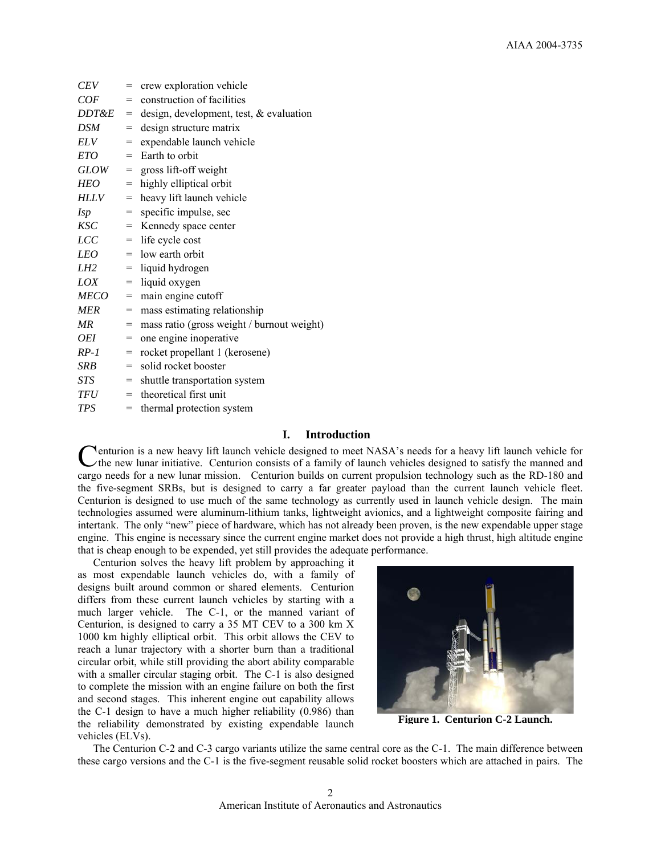| <b>CEV</b>       | $=$ | crew exploration vehicle                   |
|------------------|-----|--------------------------------------------|
| COF              | $=$ | construction of facilities                 |
| <i>DDT&amp;E</i> | $=$ | design, development, test, $\&$ evaluation |
| <b>DSM</b>       | $=$ | design structure matrix                    |
| <b>ELV</b>       | $=$ | expendable launch vehicle                  |
| <b>ETO</b>       | $=$ | Earth to orbit                             |
| <b>GLOW</b>      | $=$ | gross lift-off weight                      |
| <b>HEO</b>       | $=$ | highly elliptical orbit                    |
| <b>HLLV</b>      | $=$ | heavy lift launch vehicle                  |
| <i>Isp</i>       | $=$ | specific impulse, sec                      |
| <b>KSC</b>       | $=$ | Kennedy space center                       |
| <b>LCC</b>       | $=$ | life cycle cost                            |
| LEO              |     | $=$ low earth orbit                        |
| LH2              | $=$ | liquid hydrogen                            |
| LOX              | $=$ | liquid oxygen                              |
| <b>MECO</b>      | =   | main engine cutoff                         |
| <b>MER</b>       | $=$ | mass estimating relationship               |
| MR               | $=$ | mass ratio (gross weight / burnout weight) |
| <i>OEI</i>       | $=$ | one engine inoperative                     |
| $RP-1$           | $=$ | rocket propellant 1 (kerosene)             |
| SRB              | $=$ | solid rocket booster                       |
| STS-             | $=$ | shuttle transportation system              |
| TFU              | $=$ | theoretical first unit                     |
| <b>TPS</b>       | $=$ | thermal protection system                  |

## **I. Introduction**

**Penturion is a new heavy lift launch vehicle designed to meet NASA's needs for a heavy lift launch vehicle for** Centurion is a new heavy lift launch vehicle designed to meet NASA's needs for a heavy lift launch vehicle for<br>
the new lunar initiative. Centurion consists of a family of launch vehicles designed to satisfy the manned and cargo needs for a new lunar mission. Centurion builds on current propulsion technology such as the RD-180 and the five-segment SRBs, but is designed to carry a far greater payload than the current launch vehicle fleet. Centurion is designed to use much of the same technology as currently used in launch vehicle design. The main technologies assumed were aluminum-lithium tanks, lightweight avionics, and a lightweight composite fairing and intertank. The only "new" piece of hardware, which has not already been proven, is the new expendable upper stage engine. This engine is necessary since the current engine market does not provide a high thrust, high altitude engine that is cheap enough to be expended, yet still provides the adequate performance.

 Centurion solves the heavy lift problem by approaching it as most expendable launch vehicles do, with a family of designs built around common or shared elements. Centurion differs from these current launch vehicles by starting with a much larger vehicle. The C-1, or the manned variant of Centurion, is designed to carry a 35 MT CEV to a 300 km X 1000 km highly elliptical orbit. This orbit allows the CEV to reach a lunar trajectory with a shorter burn than a traditional circular orbit, while still providing the abort ability comparable with a smaller circular staging orbit. The C-1 is also designed to complete the mission with an engine failure on both the first and second stages. This inherent engine out capability allows the C-1 design to have a much higher reliability (0.986) than the reliability demonstrated by existing expendable launch vehicles (ELVs).



**Figure 1. Centurion C-2 Launch.**

 The Centurion C-2 and C-3 cargo variants utilize the same central core as the C-1. The main difference between these cargo versions and the C-1 is the five-segment reusable solid rocket boosters which are attached in pairs. The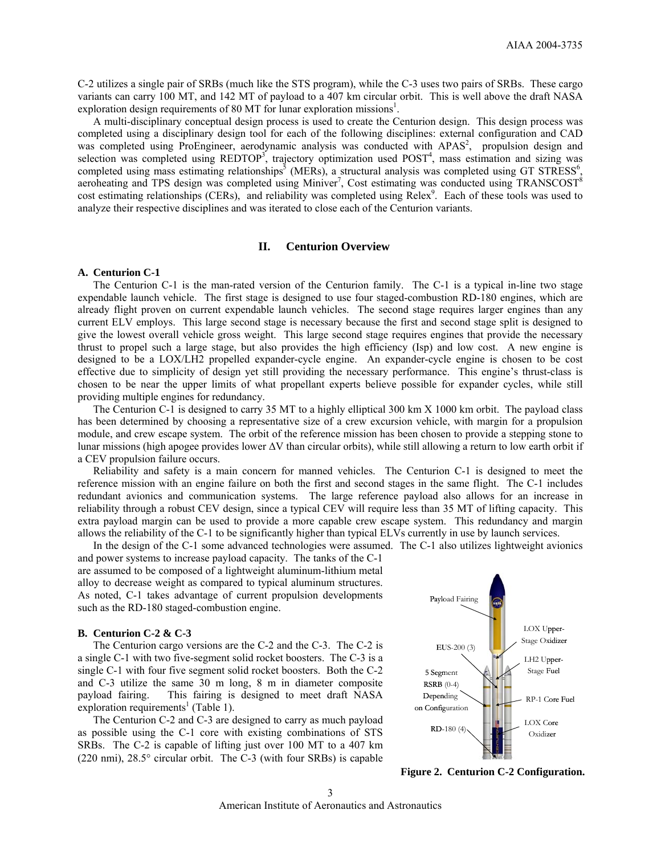C-2 utilizes a single pair of SRBs (much like the STS program), while the C-3 uses two pairs of SRBs. These cargo variants can carry 100 MT, and 142 MT of payload to a 407 km circular orbit. This is well above the draft NASA exploration design requirements of 80 MT for lunar exploration missions<sup>1</sup>.

 A multi-disciplinary conceptual design process is used to create the Centurion design. This design process was completed using a disciplinary design tool for each of the following disciplines: external configuration and CAD was completed using ProEngineer, aerodynamic analysis was conducted with APAS<sup>2</sup>, propulsion design and selection was completed using REDTOP<sup>3</sup>, trajectory optimization used POST<sup>4</sup>, mass estimation and sizing was completed using mass estimating relationships<sup>5</sup> (MERs), a structural analysis was completed using GT STRESS<sup>6</sup>, aeroheating and TPS design was completed using Miniver<sup>7</sup>, Cost estimating was conducted using TRANSCOST<sup>8</sup> cost estimating relationships (CERs), and reliability was completed using Relex<sup>9</sup>. Each of these tools was used to analyze their respective disciplines and was iterated to close each of the Centurion variants.

#### **II. Centurion Overview**

#### **A. Centurion C-1**

The Centurion C-1 is the man-rated version of the Centurion family. The C-1 is a typical in-line two stage expendable launch vehicle. The first stage is designed to use four staged-combustion RD-180 engines, which are already flight proven on current expendable launch vehicles. The second stage requires larger engines than any current ELV employs. This large second stage is necessary because the first and second stage split is designed to give the lowest overall vehicle gross weight. This large second stage requires engines that provide the necessary thrust to propel such a large stage, but also provides the high efficiency (Isp) and low cost. A new engine is designed to be a LOX/LH2 propelled expander-cycle engine. An expander-cycle engine is chosen to be cost effective due to simplicity of design yet still providing the necessary performance. This engine's thrust-class is chosen to be near the upper limits of what propellant experts believe possible for expander cycles, while still providing multiple engines for redundancy.

The Centurion C-1 is designed to carry 35 MT to a highly elliptical 300 km X 1000 km orbit. The payload class has been determined by choosing a representative size of a crew excursion vehicle, with margin for a propulsion module, and crew escape system. The orbit of the reference mission has been chosen to provide a stepping stone to lunar missions (high apogee provides lower ∆V than circular orbits), while still allowing a return to low earth orbit if a CEV propulsion failure occurs.

Reliability and safety is a main concern for manned vehicles. The Centurion C-1 is designed to meet the reference mission with an engine failure on both the first and second stages in the same flight. The C-1 includes redundant avionics and communication systems. The large reference payload also allows for an increase in reliability through a robust CEV design, since a typical CEV will require less than 35 MT of lifting capacity. This extra payload margin can be used to provide a more capable crew escape system. This redundancy and margin allows the reliability of the C-1 to be significantly higher than typical ELVs currently in use by launch services.

In the design of the C-1 some advanced technologies were assumed. The C-1 also utilizes lightweight avionics and power systems to increase payload capacity. The tanks of the C-1 are assumed to be composed of a lightweight aluminum-lithium metal alloy to decrease weight as compared to typical aluminum structures. As noted, C-1 takes advantage of current propulsion developments such as the RD-180 staged-combustion engine.

#### **B. Centurion C-2 & C-3**

The Centurion cargo versions are the C-2 and the C-3. The C-2 is a single C-1 with two five-segment solid rocket boosters. The C-3 is a single C-1 with four five segment solid rocket boosters. Both the C-2 and C-3 utilize the same 30 m long, 8 m in diameter composite payload fairing. This fairing is designed to meet draft NASA  $\exp$ loration requirements<sup>1</sup> (Table 1).

The Centurion C-2 and C-3 are designed to carry as much payload as possible using the C-1 core with existing combinations of STS SRBs. The C-2 is capable of lifting just over 100 MT to a 407 km (220 nmi), 28.5° circular orbit. The C-3 (with four SRBs) is capable



**Figure 2. Centurion C-2 Configuration.**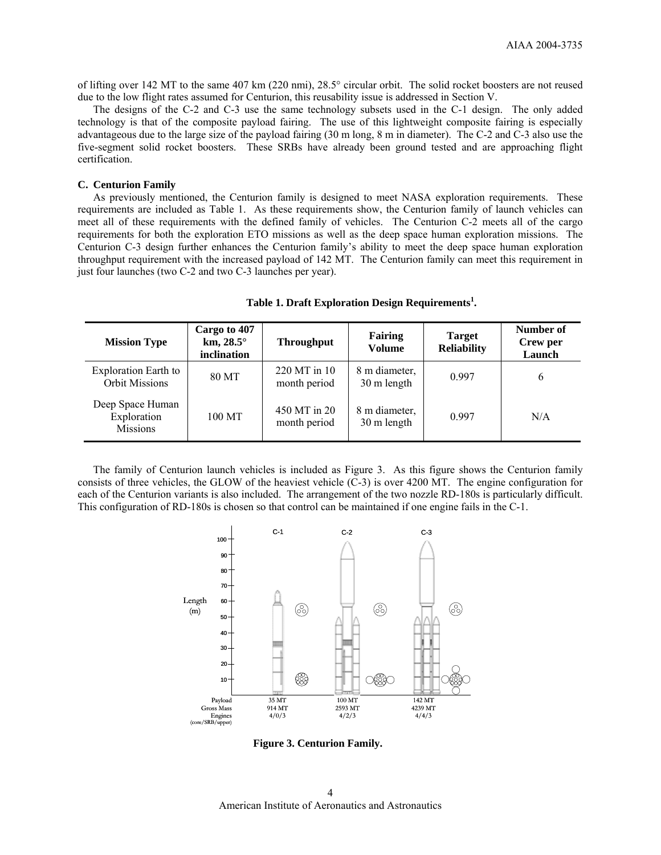of lifting over 142 MT to the same 407 km (220 nmi), 28.5° circular orbit. The solid rocket boosters are not reused due to the low flight rates assumed for Centurion, this reusability issue is addressed in Section V.

The designs of the C-2 and C-3 use the same technology subsets used in the C-1 design. The only added technology is that of the composite payload fairing. The use of this lightweight composite fairing is especially advantageous due to the large size of the payload fairing (30 m long, 8 m in diameter). The C-2 and C-3 also use the five-segment solid rocket boosters. These SRBs have already been ground tested and are approaching flight certification.

#### **C. Centurion Family**

As previously mentioned, the Centurion family is designed to meet NASA exploration requirements. These requirements are included as Table 1. As these requirements show, the Centurion family of launch vehicles can meet all of these requirements with the defined family of vehicles. The Centurion C-2 meets all of the cargo requirements for both the exploration ETO missions as well as the deep space human exploration missions. The Centurion C-3 design further enhances the Centurion family's ability to meet the deep space human exploration throughput requirement with the increased payload of 142 MT. The Centurion family can meet this requirement in just four launches (two C-2 and two C-3 launches per year).

| <b>Mission Type</b>                                  | Cargo to 407<br>km, $28.5^{\circ}$<br>inclination | <b>Throughput</b>            | <b>Fairing</b><br><b>Volume</b> | <b>Target</b><br><b>Reliability</b> | Number of<br>Crew per<br>Launch |
|------------------------------------------------------|---------------------------------------------------|------------------------------|---------------------------------|-------------------------------------|---------------------------------|
| <b>Exploration Earth to</b><br><b>Orbit Missions</b> | 80 MT                                             | 220 MT in 10<br>month period | 8 m diameter,<br>30 m length    | 0.997                               | 6                               |
| Deep Space Human<br>Exploration<br><b>Missions</b>   | 100 MT                                            | 450 MT in 20<br>month period | 8 m diameter,<br>30 m length    | 0.997                               | N/A                             |

# **Table 1. Draft Exploration Design Requirements<sup>1</sup> .**

The family of Centurion launch vehicles is included as Figure 3. As this figure shows the Centurion family consists of three vehicles, the GLOW of the heaviest vehicle (C-3) is over 4200 MT. The engine configuration for each of the Centurion variants is also included. The arrangement of the two nozzle RD-180s is particularly difficult. This configuration of RD-180s is chosen so that control can be maintained if one engine fails in the C-1.



**Figure 3. Centurion Family.** 

American Institute of Aeronautics and Astronautics 4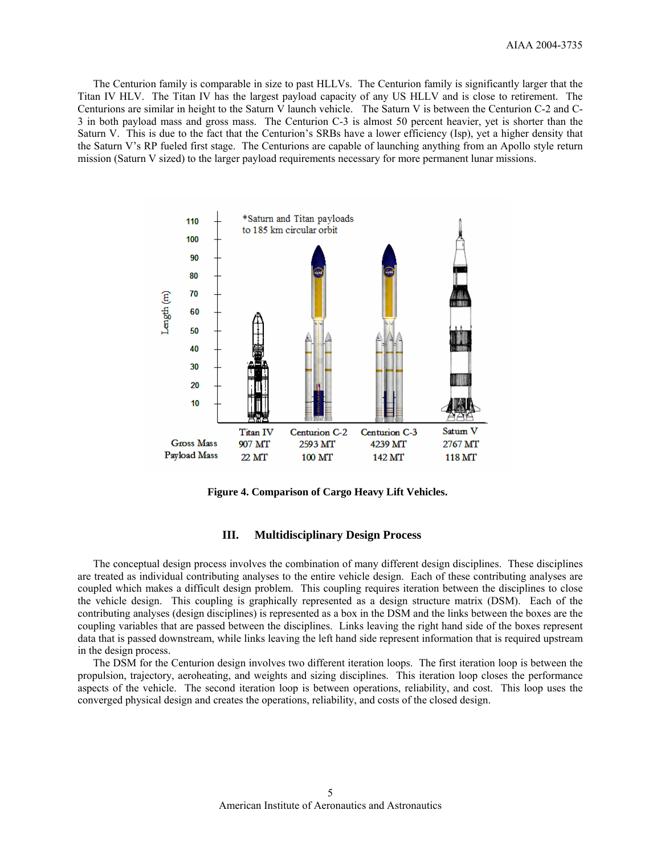The Centurion family is comparable in size to past HLLVs. The Centurion family is significantly larger that the Titan IV HLV. The Titan IV has the largest payload capacity of any US HLLV and is close to retirement. The Centurions are similar in height to the Saturn V launch vehicle. The Saturn V is between the Centurion C-2 and C-3 in both payload mass and gross mass. The Centurion C-3 is almost 50 percent heavier, yet is shorter than the Saturn V. This is due to the fact that the Centurion's SRBs have a lower efficiency (Isp), yet a higher density that the Saturn V's RP fueled first stage. The Centurions are capable of launching anything from an Apollo style return mission (Saturn V sized) to the larger payload requirements necessary for more permanent lunar missions.



**Figure 4. Comparison of Cargo Heavy Lift Vehicles.** 

## **III. Multidisciplinary Design Process**

The conceptual design process involves the combination of many different design disciplines. These disciplines are treated as individual contributing analyses to the entire vehicle design. Each of these contributing analyses are coupled which makes a difficult design problem. This coupling requires iteration between the disciplines to close the vehicle design. This coupling is graphically represented as a design structure matrix (DSM). Each of the contributing analyses (design disciplines) is represented as a box in the DSM and the links between the boxes are the coupling variables that are passed between the disciplines. Links leaving the right hand side of the boxes represent data that is passed downstream, while links leaving the left hand side represent information that is required upstream in the design process.

The DSM for the Centurion design involves two different iteration loops. The first iteration loop is between the propulsion, trajectory, aeroheating, and weights and sizing disciplines. This iteration loop closes the performance aspects of the vehicle. The second iteration loop is between operations, reliability, and cost. This loop uses the converged physical design and creates the operations, reliability, and costs of the closed design.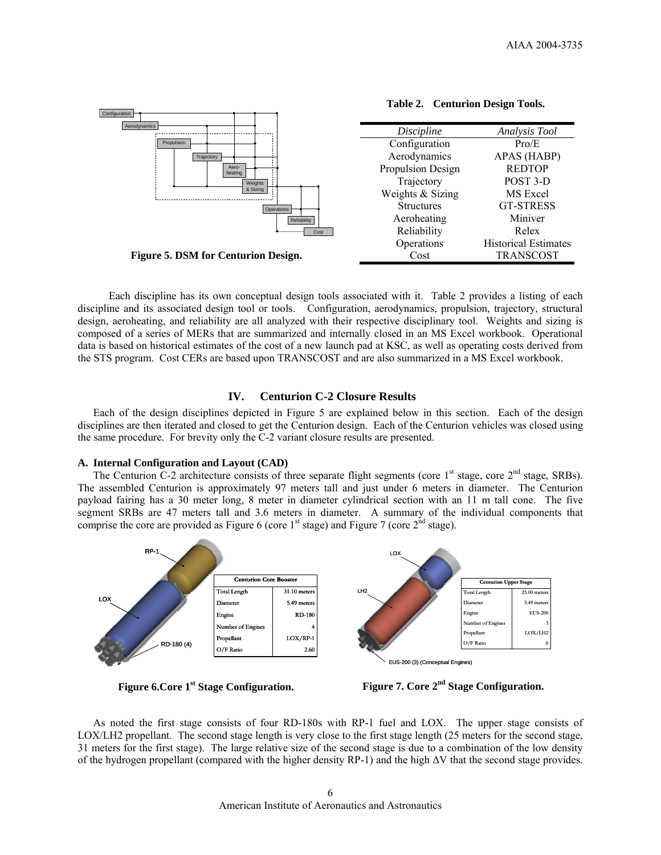

**Table 2. Centurion Design Tools.** 

 Each discipline has its own conceptual design tools associated with it. Table 2 provides a listing of each discipline and its associated design tool or tools. Configuration, aerodynamics, propulsion, trajectory, structural design, aeroheating, and reliability are all analyzed with their respective disciplinary tool. Weights and sizing is composed of a series of MERs that are summarized and internally closed in an MS Excel workbook. Operational data is based on historical estimates of the cost of a new launch pad at KSC, as well as operating costs derived from the STS program. Cost CERs are based upon TRANSCOST and are also summarized in a MS Excel workbook.

# **IV. Centurion C-2 Closure Results**

Each of the design disciplines depicted in Figure 5 are explained below in this section. Each of the design disciplines are then iterated and closed to get the Centurion design. Each of the Centurion vehicles was closed using the same procedure. For brevity only the C-2 variant closure results are presented.

# **A. Internal Configuration and Layout (CAD)**

The Centurion C-2 architecture consists of three separate flight segments (core  $1<sup>st</sup>$  stage, core  $2<sup>nd</sup>$  stage, SRBs). The assembled Centurion is approximately 97 meters tall and just under 6 meters in diameter. The Centurion payload fairing has a 30 meter long, 8 meter in diameter cylindrical section with an 11 m tall cone. The five segment SRBs are 47 meters tall and 3.6 meters in diameter. A summary of the individual components that comprise the core are provided as Figure 6 (core  $1<sup>st</sup>$  stage) and Figure 7 (core  $2<sup>nd</sup>$  stage).



**Figure 6.Core 1st Stage Configuration.** 

**Figure 7. Core 2nd Stage Configuration.** 

 As noted the first stage consists of four RD-180s with RP-1 fuel and LOX. The upper stage consists of LOX/LH2 propellant. The second stage length is very close to the first stage length (25 meters for the second stage, 31 meters for the first stage). The large relative size of the second stage is due to a combination of the low density of the hydrogen propellant (compared with the higher density RP-1) and the high ∆V that the second stage provides.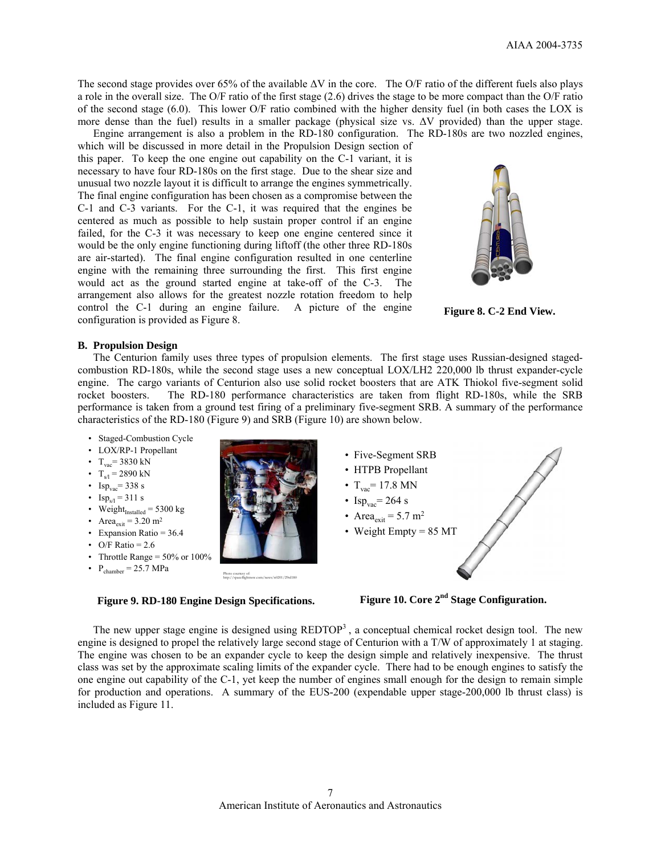The second stage provides over 65% of the available ∆V in the core. The O/F ratio of the different fuels also plays a role in the overall size. The O/F ratio of the first stage (2.6) drives the stage to be more compact than the O/F ratio of the second stage (6.0). This lower O/F ratio combined with the higher density fuel (in both cases the LOX is more dense than the fuel) results in a smaller package (physical size vs. ∆V provided) than the upper stage.

 Engine arrangement is also a problem in the RD-180 configuration. The RD-180s are two nozzled engines, which will be discussed in more detail in the Propulsion Design section of this paper. To keep the one engine out capability on the C-1 variant, it is necessary to have four RD-180s on the first stage. Due to the shear size and unusual two nozzle layout it is difficult to arrange the engines symmetrically. The final engine configuration has been chosen as a compromise between the C-1 and C-3 variants. For the C-1, it was required that the engines be centered as much as possible to help sustain proper control if an engine failed, for the C-3 it was necessary to keep one engine centered since it would be the only engine functioning during liftoff (the other three RD-180s are air-started). The final engine configuration resulted in one centerline engine with the remaining three surrounding the first. This first engine would act as the ground started engine at take-off of the C-3. The arrangement also allows for the greatest nozzle rotation freedom to help control the C-1 during an engine failure. A picture of the engine configuration is provided as Figure 8.



**Figure 8. C-2 End View.** 

#### **B. Propulsion Design**

The Centurion family uses three types of propulsion elements. The first stage uses Russian-designed stagedcombustion RD-180s, while the second stage uses a new conceptual LOX/LH2 220,000 lb thrust expander-cycle engine. The cargo variants of Centurion also use solid rocket boosters that are ATK Thiokol five-segment solid rocket boosters. The RD-180 performance characteristics are taken from flight RD-180s, while the SRB performance is taken from a ground test firing of a preliminary five-segment SRB. A summary of the performance characteristics of the RD-180 (Figure 9) and SRB (Figure 10) are shown below.

- Staged-Combustion Cycle
- LOX/RP-1 Propellant
- $T_{\text{vac}}$ = 3830 kN
- $T_{s/l} = 2890 \text{ kN}$
- Isp<sub>vac</sub>= 338 s
- $\text{Isp}_{s/l} = 311 \text{ s}$
- Weight $_{\text{Instead}} = 5300 \text{ kg}$
- Area<sub>exit</sub> =  $3.20 \text{ m}^2$
- Expansion Ratio =  $36.4$
- O/F Ratio =  $2.6$
- Throttle Range =  $50\%$  or  $100\%$
- $P_{chamber} = 25.7 MPa$



**Figure 9. RD-180 Engine Design Specifications.** 



- HTPB Propellant
- $T_{\text{vac}}$ = 17.8 MN
- Isp<sub>vac</sub>= 264 s
- Area<sub>exit</sub> =  $5.7 \text{ m}^2$
- Weight Empty = 85 MT
	- **Figure 10. Core 2nd Stage Configuration.**

The new upper stage engine is designed using  $REDTOP<sup>3</sup>$ , a conceptual chemical rocket design tool. The new engine is designed to propel the relatively large second stage of Centurion with a T/W of approximately 1 at staging. The engine was chosen to be an expander cycle to keep the design simple and relatively inexpensive. The thrust class was set by the approximate scaling limits of the expander cycle. There had to be enough engines to satisfy the one engine out capability of the C-1, yet keep the number of engines small enough for the design to remain simple for production and operations. A summary of the EUS-200 (expendable upper stage-200,000 lb thrust class) is included as Figure 11.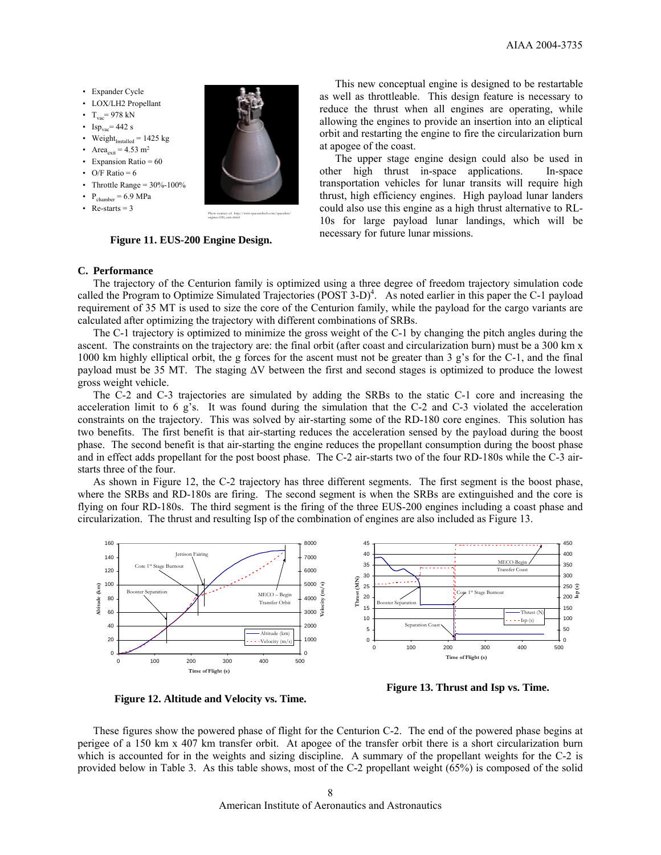- Expander Cycle
- LOX/LH2 Propellant
- $T_{vac}$ = 978 kN
- Isp<sub>vac</sub>= 442 s
- Weight $_{\text{Instead}}$  = 1425 kg
- Area<sub>exit</sub> = 4.53 m<sup>2</sup>
- Expansion Ratio = 60
- O/F Ratio =  $6$
- Throttle Range =  $30\%$ -100%
- $P_{\text{chamber}} = 6.9 \text{ MPa}$
- Re-starts  $= 3$



**Figure 11. EUS-200 Engine Design.** 

**C. Performance** 

The trajectory of the Centurion family is optimized using a three degree of freedom trajectory simulation code called the Program to Optimize Simulated Trajectories  $(POST 3-D)^4$ . As noted earlier in this paper the C-1 payload requirement of 35 MT is used to size the core of the Centurion family, while the payload for the cargo variants are calculated after optimizing the trajectory with different combinations of SRBs.

The C-1 trajectory is optimized to minimize the gross weight of the C-1 by changing the pitch angles during the ascent. The constraints on the trajectory are: the final orbit (after coast and circularization burn) must be a 300 km x 1000 km highly elliptical orbit, the g forces for the ascent must not be greater than 3 g's for the C-1, and the final payload must be 35 MT. The staging ∆V between the first and second stages is optimized to produce the lowest gross weight vehicle.

The C-2 and C-3 trajectories are simulated by adding the SRBs to the static C-1 core and increasing the acceleration limit to 6 g's. It was found during the simulation that the C-2 and C-3 violated the acceleration constraints on the trajectory. This was solved by air-starting some of the RD-180 core engines. This solution has two benefits. The first benefit is that air-starting reduces the acceleration sensed by the payload during the boost phase. The second benefit is that air-starting the engine reduces the propellant consumption during the boost phase and in effect adds propellant for the post boost phase. The C-2 air-starts two of the four RD-180s while the C-3 airstarts three of the four.

As shown in Figure 12, the C-2 trajectory has three different segments. The first segment is the boost phase, where the SRBs and RD-180s are firing. The second segment is when the SRBs are extinguished and the core is flying on four RD-180s. The third segment is the firing of the three EUS-200 engines including a coast phase and circularization. The thrust and resulting Isp of the combination of engines are also included as Figure 13.



**Figure 12. Altitude and Velocity vs. Time.** 

**Figure 13. Thrust and Isp vs. Time.** 

 These figures show the powered phase of flight for the Centurion C-2. The end of the powered phase begins at perigee of a 150 km x 407 km transfer orbit. At apogee of the transfer orbit there is a short circularization burn which is accounted for in the weights and sizing discipline. A summary of the propellant weights for the C-2 is provided below in Table 3. As this table shows, most of the C-2 propellant weight (65%) is composed of the solid

This new conceptual engine is designed to be restartable as well as throttleable. This design feature is necessary to reduce the thrust when all engines are operating, while allowing the engines to provide an insertion into an eliptical orbit and restarting the engine to fire the circularization burn at apogee of the coast.

The upper stage engine design could also be used in other high thrust in-space applications. In-space transportation vehicles for lunar transits will require high thrust, high efficiency engines. High payload lunar landers could also use this engine as a high thrust alternative to RL-10s for large payload lunar landings, which will be necessary for future lunar missions.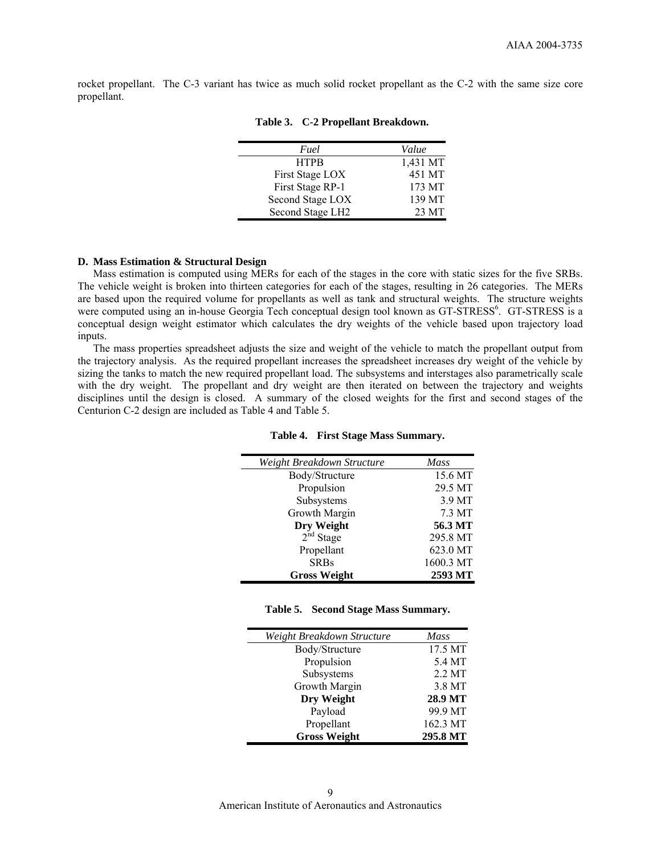rocket propellant. The C-3 variant has twice as much solid rocket propellant as the C-2 with the same size core propellant.

| Fuel             | Value    |
|------------------|----------|
| <b>HTPB</b>      | 1,431 MT |
| First Stage LOX  | 451 MT   |
| First Stage RP-1 | 173 MT   |
| Second Stage LOX | 139 MT   |
| Second Stage LH2 | 23 MT    |

# **Table 3. C-2 Propellant Breakdown.**

### **D. Mass Estimation & Structural Design**

Mass estimation is computed using MERs for each of the stages in the core with static sizes for the five SRBs. The vehicle weight is broken into thirteen categories for each of the stages, resulting in 26 categories. The MERs are based upon the required volume for propellants as well as tank and structural weights. The structure weights were computed using an in-house Georgia Tech conceptual design tool known as GT-STRESS<sup>6</sup>. GT-STRESS is a conceptual design weight estimator which calculates the dry weights of the vehicle based upon trajectory load inputs.

The mass properties spreadsheet adjusts the size and weight of the vehicle to match the propellant output from the trajectory analysis. As the required propellant increases the spreadsheet increases dry weight of the vehicle by sizing the tanks to match the new required propellant load. The subsystems and interstages also parametrically scale with the dry weight. The propellant and dry weight are then iterated on between the trajectory and weights disciplines until the design is closed. A summary of the closed weights for the first and second stages of the Centurion C-2 design are included as Table 4 and Table 5.

| Weight Breakdown Structure | <b>Mass</b> |
|----------------------------|-------------|
| Body/Structure             | 15.6 MT     |
| Propulsion                 | 29.5 MT     |
| Subsystems                 | 3.9 MT      |
| Growth Margin              | 7.3 MT      |
| Dry Weight                 | 56.3 MT     |
| $2nd$ Stage                | 295.8 MT    |
| Propellant                 | 623.0 MT    |
| <b>SRBs</b>                | 1600.3 MT   |
| <b>Gross Weight</b>        | 2593 MT     |

#### **Table 4. First Stage Mass Summary.**

#### **Table 5. Second Stage Mass Summary.**

| Weight Breakdown Structure | <b>Mass</b>      |
|----------------------------|------------------|
| Body/Structure             | 17.5 MT          |
| Propulsion                 | 5.4 MT           |
| Subsystems                 | $2.2 \text{ MT}$ |
| Growth Margin              | 3.8 MT           |
| Dry Weight                 | 28.9 MT          |
| Payload                    | 99.9 MT          |
| Propellant                 | 162.3 MT         |
| <b>Gross Weight</b>        | 295.8 MT         |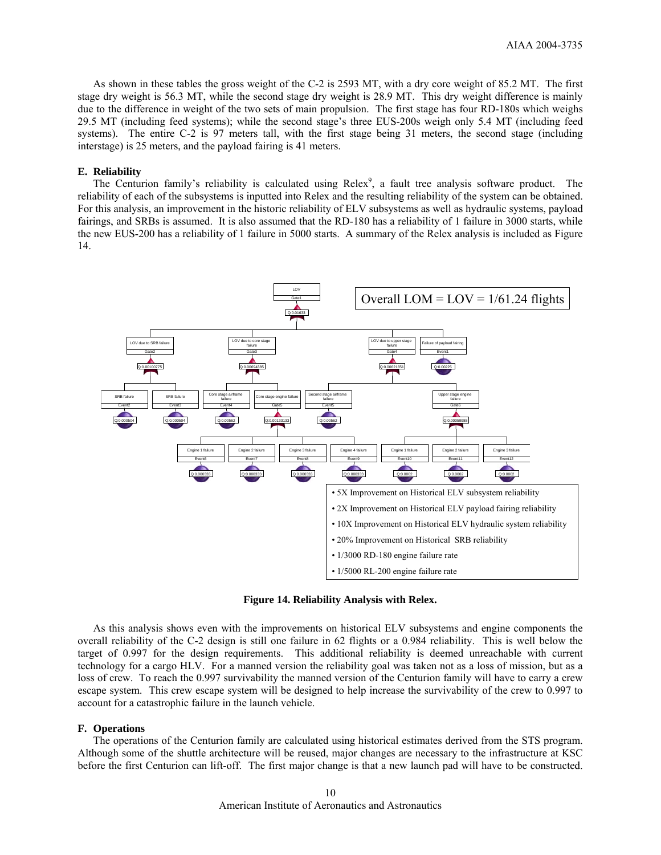As shown in these tables the gross weight of the C-2 is 2593 MT, with a dry core weight of 85.2 MT. The first stage dry weight is 56.3 MT, while the second stage dry weight is 28.9 MT. This dry weight difference is mainly due to the difference in weight of the two sets of main propulsion. The first stage has four RD-180s which weighs 29.5 MT (including feed systems); while the second stage's three EUS-200s weigh only 5.4 MT (including feed systems). The entire C-2 is 97 meters tall, with the first stage being 31 meters, the second stage (including interstage) is 25 meters, and the payload fairing is 41 meters.

## **E. Reliability**

The Centurion family's reliability is calculated using Relex<sup>9</sup>, a fault tree analysis software product. The reliability of each of the subsystems is inputted into Relex and the resulting reliability of the system can be obtained. For this analysis, an improvement in the historic reliability of ELV subsystems as well as hydraulic systems, payload fairings, and SRBs is assumed. It is also assumed that the RD-180 has a reliability of 1 failure in 3000 starts, while the new EUS-200 has a reliability of 1 failure in 5000 starts. A summary of the Relex analysis is included as Figure 14.



**Figure 14. Reliability Analysis with Relex.** 

As this analysis shows even with the improvements on historical ELV subsystems and engine components the overall reliability of the C-2 design is still one failure in 62 flights or a 0.984 reliability. This is well below the target of 0.997 for the design requirements. This additional reliability is deemed unreachable with current technology for a cargo HLV. For a manned version the reliability goal was taken not as a loss of mission, but as a loss of crew. To reach the 0.997 survivability the manned version of the Centurion family will have to carry a crew escape system. This crew escape system will be designed to help increase the survivability of the crew to 0.997 to account for a catastrophic failure in the launch vehicle.

#### **F. Operations**

The operations of the Centurion family are calculated using historical estimates derived from the STS program. Although some of the shuttle architecture will be reused, major changes are necessary to the infrastructure at KSC before the first Centurion can lift-off. The first major change is that a new launch pad will have to be constructed.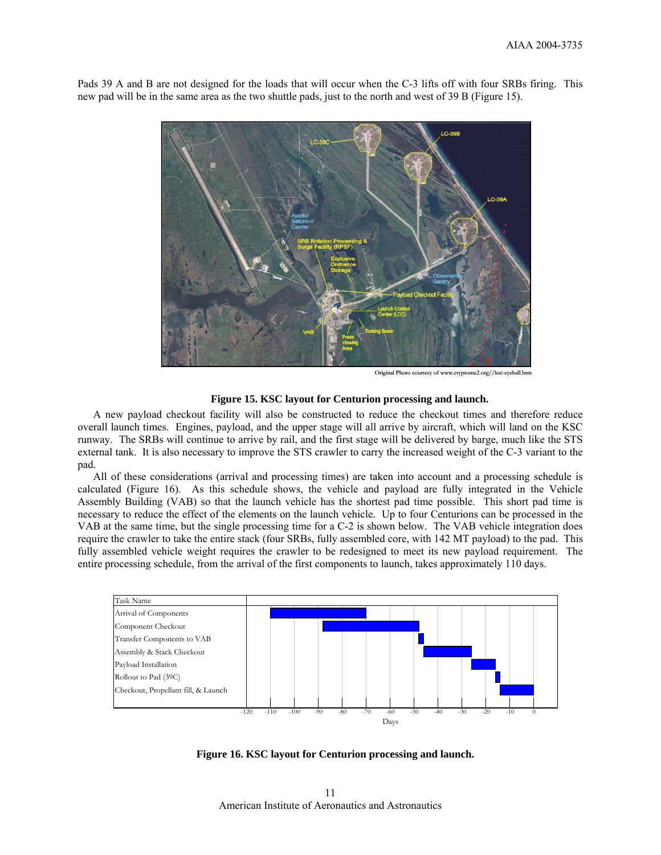

Pads 39 A and B are not designed for the loads that will occur when the C-3 lifts off with four SRBs firing. This new pad will be in the same area as the two shuttle pads, just to the north and west of 39 B (Figure 15).

Original Photo courtesy of www.cryptome2.org//ksc-eyeball.htm

#### **Figure 15. KSC layout for Centurion processing and launch.**

A new payload checkout facility will also be constructed to reduce the checkout times and therefore reduce overall launch times. Engines, payload, and the upper stage will all arrive by aircraft, which will land on the KSC runway. The SRBs will continue to arrive by rail, and the first stage will be delivered by barge, much like the STS external tank. It is also necessary to improve the STS crawler to carry the increased weight of the C-3 variant to the pad.

All of these considerations (arrival and processing times) are taken into account and a processing schedule is calculated (Figure 16). As this schedule shows, the vehicle and payload are fully integrated in the Vehicle Assembly Building (VAB) so that the launch vehicle has the shortest pad time possible. This short pad time is necessary to reduce the effect of the elements on the launch vehicle. Up to four Centurions can be processed in the VAB at the same time, but the single processing time for a C-2 is shown below. The VAB vehicle integration does require the crawler to take the entire stack (four SRBs, fully assembled core, with 142 MT payload) to the pad. This fully assembled vehicle weight requires the crawler to be redesigned to meet its new payload requirement. The entire processing schedule, from the arrival of the first components to launch, takes approximately 110 days.



**Figure 16. KSC layout for Centurion processing and launch.** 

American Institute of Aeronautics and Astronautics 11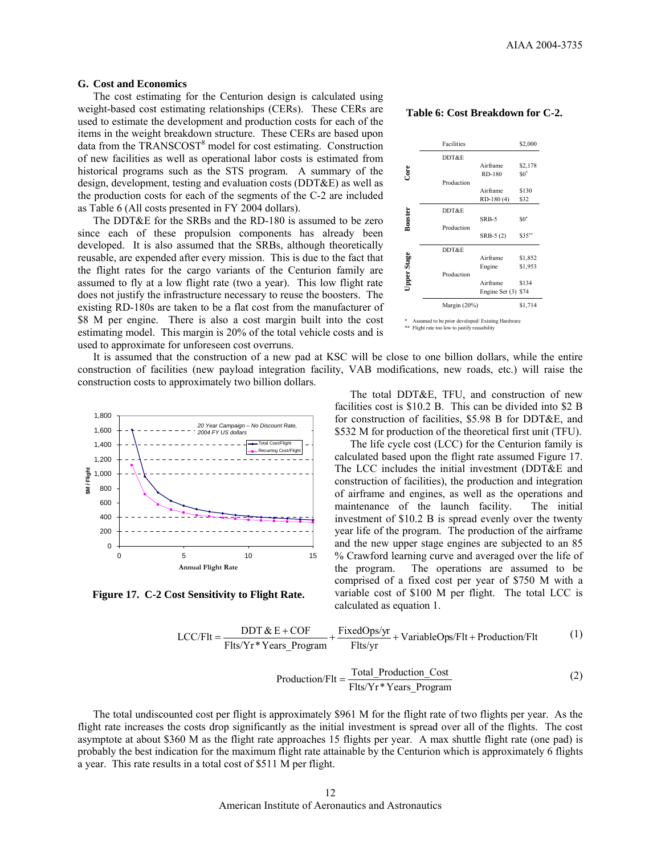#### **G. Cost and Economics**

The cost estimating for the Centurion design is calculated using weight-based cost estimating relationships (CERs). These CERs are used to estimate the development and production costs for each of the items in the weight breakdown structure. These CERs are based upon data from the TRANSCOST<sup>8</sup> model for cost estimating. Construction of new facilities as well as operational labor costs is estimated from historical programs such as the STS program. A summary of the design, development, testing and evaluation costs (DDT&E) as well as the production costs for each of the segments of the C-2 are included as Table 6 (All costs presented in FY 2004 dollars).

The DDT&E for the SRBs and the RD-180 is assumed to be zero since each of these propulsion components has already been developed. It is also assumed that the SRBs, although theoretically reusable, are expended after every mission. This is due to the fact that the flight rates for the cargo variants of the Centurion family are assumed to fly at a low flight rate (two a year). This low flight rate does not justify the infrastructure necessary to reuse the boosters. The existing RD-180s are taken to be a flat cost from the manufacturer of \$8 M per engine. There is also a cost margin built into the cost estimating model. This margin is 20% of the total vehicle costs and is used to approximate for unforeseen cost overruns.

It is assumed that the construction of a new pad at KSC will be close to one billion dollars, while the entire construction of facilities (new payload integration facility, VAB modifications, new roads, etc.) will raise the construction costs to approximately two billion dollars.



**Figure 17. C-2 Cost Sensitivity to Flight Rate.** 

#### **Table 6: Cost Breakdown for C-2.**

|                                                                                                            | Facilities      |                     | \$2,000 |
|------------------------------------------------------------------------------------------------------------|-----------------|---------------------|---------|
|                                                                                                            | DDT&E           |                     |         |
|                                                                                                            |                 | Airframe            | \$2,178 |
| Core                                                                                                       |                 | RD-180              | $\$0^*$ |
|                                                                                                            | Production      |                     |         |
|                                                                                                            |                 | Airframe            | \$130   |
|                                                                                                            |                 | RD-180 (4)          | \$32    |
|                                                                                                            | DDT&E           |                     |         |
|                                                                                                            |                 | SRB-5               | $\$0^*$ |
| <b>Booster</b>                                                                                             | Production      |                     |         |
|                                                                                                            |                 | $SRB-5(2)$          | \$35"   |
|                                                                                                            | DDT&E           |                     |         |
| <b>Upper Stage</b>                                                                                         |                 | Airframe            | \$1,852 |
|                                                                                                            |                 | Engine              | \$1,953 |
|                                                                                                            | Production      |                     |         |
|                                                                                                            |                 | Airframe            | \$134   |
|                                                                                                            |                 | Engine Set (3) \$74 |         |
|                                                                                                            | Margin $(20\%)$ |                     | \$1,714 |
| \$<br>Assumed to be prior developed/ Existing Hardware<br>**<br>Flight rate too low to justify reusability |                 |                     |         |

The total DDT&E, TFU, and construction of new facilities cost is \$10.2 B. This can be divided into \$2 B for construction of facilities, \$5.98 B for DDT&E, and \$532 M for production of the theoretical first unit (TFU).

The life cycle cost (LCC) for the Centurion family is calculated based upon the flight rate assumed Figure 17. The LCC includes the initial investment (DDT&E and construction of facilities), the production and integration of airframe and engines, as well as the operations and maintenance of the launch facility. The initial investment of \$10.2 B is spread evenly over the twenty year life of the program. The production of the airframe and the new upper stage engines are subjected to an 85 % Crawford learning curve and averaged over the life of the program. The operations are assumed to be comprised of a fixed cost per year of \$750 M with a variable cost of \$100 M per flight. The total LCC is calculated as equation 1.

$$
LCC/Flt = \frac{DDT & E + COF}{Flts/Yr * Years_{Program}} + \frac{FixedOps/yr}{Flts/yr} + VariableOps/Flt + Production/Flt \tag{1}
$$

$$
Production/Flt = \frac{Total\_Production\_Cost}{Flts/Yr * Years\_Program}
$$
 (2)

The total undiscounted cost per flight is approximately \$961 M for the flight rate of two flights per year. As the flight rate increases the costs drop significantly as the initial investment is spread over all of the flights. The cost asymptote at about \$360 M as the flight rate approaches 15 flights per year. A max shuttle flight rate (one pad) is probably the best indication for the maximum flight rate attainable by the Centurion which is approximately 6 flights a year. This rate results in a total cost of \$511 M per flight.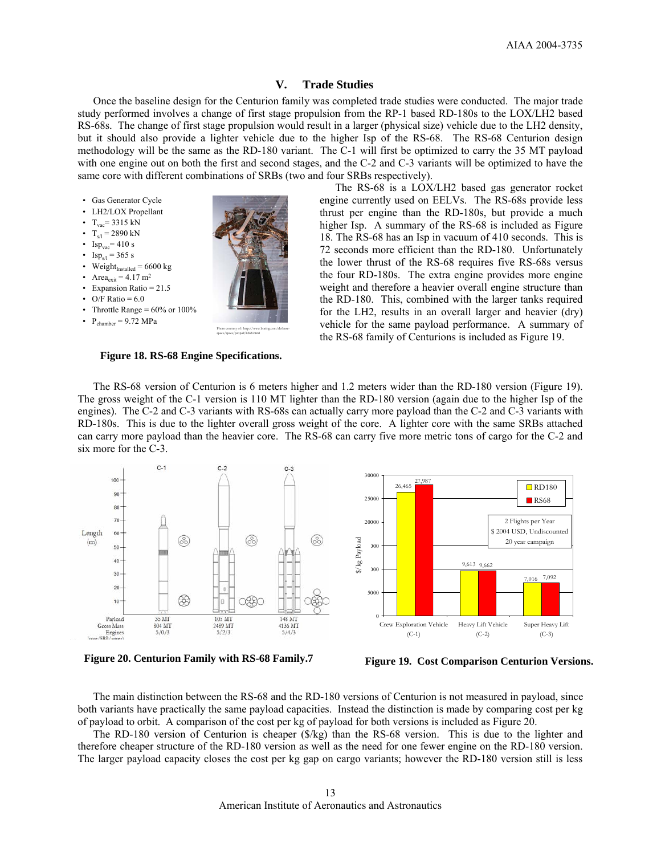#### **V. Trade Studies**

Once the baseline design for the Centurion family was completed trade studies were conducted. The major trade study performed involves a change of first stage propulsion from the RP-1 based RD-180s to the LOX/LH2 based RS-68s. The change of first stage propulsion would result in a larger (physical size) vehicle due to the LH2 density, but it should also provide a lighter vehicle due to the higher Isp of the RS-68. The RS-68 Centurion design methodology will be the same as the RD-180 variant. The C-1 will first be optimized to carry the 35 MT payload with one engine out on both the first and second stages, and the C-2 and C-3 variants will be optimized to have the same core with different combinations of SRBs (two and four SRBs respectively).



- Isp<sub>vac</sub>= 410 s
- Isp<sub>s/l</sub> = 365 s
- Weight $_{\text{installed}}$  = 6600 kg
- Area $_{\text{exit}}$  = 4.17 m<sup>2</sup>
- Expansion Ratio = 21.5
- O/F Ratio =  $6.0$
- Throttle Range =  $60\%$  or  $100\%$
- $P_{\text{chamber}} = 9.72 \text{ MPa}$

The RS-68 is a LOX/LH2 based gas generator rocket engine currently used on EELVs. The RS-68s provide less thrust per engine than the RD-180s, but provide a much higher Isp. A summary of the RS-68 is included as Figure 18. The RS-68 has an Isp in vacuum of 410 seconds. This is 72 seconds more efficient than the RD-180. Unfortunately the lower thrust of the RS-68 requires five RS-68s versus the four RD-180s. The extra engine provides more engine weight and therefore a heavier overall engine structure than the RD-180. This, combined with the larger tanks required for the LH2, results in an overall larger and heavier (dry) vehicle for the same payload performance. A summary of the RS-68 family of Centurions is included as Figure 19.

**Figure 18. RS-68 Engine Specifications.** 

The RS-68 version of Centurion is 6 meters higher and 1.2 meters wider than the RD-180 version (Figure 19). The gross weight of the C-1 version is 110 MT lighter than the RD-180 version (again due to the higher Isp of the engines). The C-2 and C-3 variants with RS-68s can actually carry more payload than the C-2 and C-3 variants with RD-180s. This is due to the lighter overall gross weight of the core. A lighter core with the same SRBs attached can carry more payload than the heavier core. The RS-68 can carry five more metric tons of cargo for the C-2 and six more for the C-3.



**Figure 20. Centurion Family with RS-68 Family.7**

**Figure 19. Cost Comparison Centurion Versions.**

The main distinction between the RS-68 and the RD-180 versions of Centurion is not measured in payload, since both variants have practically the same payload capacities. Instead the distinction is made by comparing cost per kg of payload to orbit. A comparison of the cost per kg of payload for both versions is included as Figure 20.

The RD-180 version of Centurion is cheaper (\$/kg) than the RS-68 version. This is due to the lighter and therefore cheaper structure of the RD-180 version as well as the need for one fewer engine on the RD-180 version. The larger payload capacity closes the cost per kg gap on cargo variants; however the RD-180 version still is less

Photo courtesy of: http://www.boeing.com/defensespace/space/propul/RS68.html